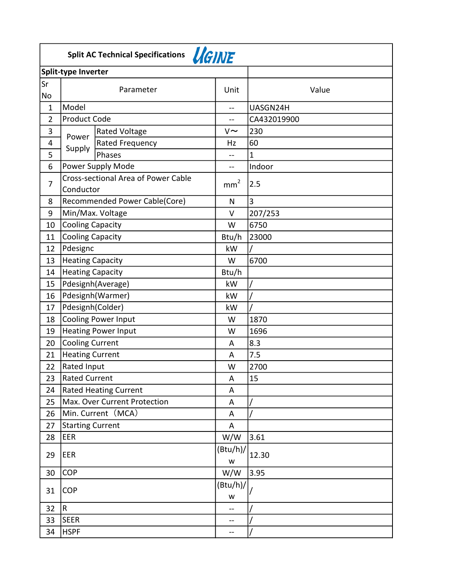|                | Split AC Technical Specifications <i>UGINE</i> |                                     |               |              |  |  |  |
|----------------|------------------------------------------------|-------------------------------------|---------------|--------------|--|--|--|
|                | Split-type Inverter                            |                                     |               |              |  |  |  |
| $\sf{Sr}$      | Unit                                           |                                     |               |              |  |  |  |
| No             | Parameter                                      |                                     |               | Value        |  |  |  |
| $\mathbf{1}$   | Model                                          |                                     |               | UASGN24H     |  |  |  |
| $\overline{2}$ | <b>Product Code</b>                            |                                     | --            | CA432019900  |  |  |  |
| 3              |                                                | <b>Rated Voltage</b>                | $V \sim$      | 230          |  |  |  |
| 4              | Power                                          | Rated Frequency                     | Hz            | 60           |  |  |  |
| 5              | Supply                                         | Phases                              | --            | $\mathbf{1}$ |  |  |  |
| 6              |                                                | Power Supply Mode                   | $-1$          | Indoor       |  |  |  |
| 7              | Conductor                                      | Cross-sectional Area of Power Cable | $\text{mm}^2$ | 2.5          |  |  |  |
| 8              |                                                | Recommended Power Cable(Core)       | N             | 3            |  |  |  |
| 9              | Min/Max. Voltage                               |                                     | V             | 207/253      |  |  |  |
| 10             | <b>Cooling Capacity</b>                        |                                     | W             | 6750         |  |  |  |
| 11             | <b>Cooling Capacity</b>                        |                                     | Btu/h         | 23000        |  |  |  |
| 12             | Pdesignc                                       |                                     | kW            |              |  |  |  |
| 13             | <b>Heating Capacity</b>                        |                                     | W             | 6700         |  |  |  |
| 14             | <b>Heating Capacity</b>                        |                                     | Btu/h         |              |  |  |  |
| 15             |                                                | Pdesignh(Average)                   | kW            |              |  |  |  |
| 16             | Pdesignh(Warmer)                               |                                     | kW            |              |  |  |  |
| 17             | Pdesignh(Colder)                               |                                     | kW            |              |  |  |  |
| 18             | <b>Cooling Power Input</b>                     |                                     | W             | 1870         |  |  |  |
| 19             |                                                | <b>Heating Power Input</b>          | W             | 1696         |  |  |  |
| 20             | <b>Cooling Current</b>                         |                                     | A             | 8.3          |  |  |  |
| 21             | <b>Heating Current</b>                         |                                     | A             | 7.5          |  |  |  |
| 22             | Rated Input                                    |                                     | W             | 2700         |  |  |  |
| 23             | <b>Rated Current</b>                           |                                     | Α             | 15           |  |  |  |
| 24             |                                                | <b>Rated Heating Current</b>        | Α             |              |  |  |  |
| 25             |                                                | Max. Over Current Protection        | A             |              |  |  |  |
| 26             |                                                | Min. Current (MCA)                  | A             |              |  |  |  |
| 27             | <b>Starting Current</b>                        |                                     | A             |              |  |  |  |
| 28             | EER                                            |                                     | W/W           | 3.61         |  |  |  |
| 29             | EER                                            |                                     | (Btu/h)/<br>W | 12.30        |  |  |  |
| 30             | <b>COP</b>                                     |                                     | W/W           | 3.95         |  |  |  |
| 31             | <b>COP</b>                                     |                                     | (Btu/h)/<br>W |              |  |  |  |
| 32             | $\overline{\mathsf{R}}$                        |                                     | $-$           |              |  |  |  |
| 33             | <b>SEER</b>                                    |                                     | --            |              |  |  |  |
| 34             | <b>HSPF</b>                                    |                                     | --            |              |  |  |  |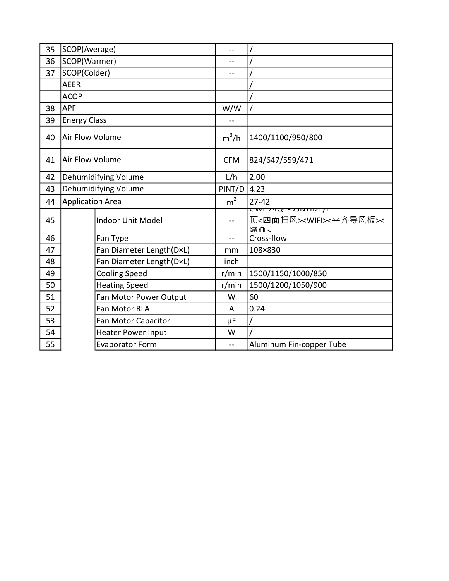| 35 | SCOP(Average)           |                           |                |                                                                            |
|----|-------------------------|---------------------------|----------------|----------------------------------------------------------------------------|
| 36 |                         | SCOP(Warmer)              |                |                                                                            |
| 37 | SCOP(Colder)            |                           | $-$            |                                                                            |
|    | <b>AEER</b>             |                           |                |                                                                            |
|    | <b>ACOP</b>             |                           |                |                                                                            |
| 38 | <b>APF</b>              |                           | W/W            |                                                                            |
| 39 | <b>Energy Class</b>     |                           |                |                                                                            |
| 40 | Air Flow Volume         |                           | $m^3/h$        | 1400/1100/950/800                                                          |
| 41 | Air Flow Volume         |                           | <b>CFM</b>     | 824/647/559/471                                                            |
| 42 |                         | Dehumidifying Volume      | L/h            | 2.00                                                                       |
| 43 | Dehumidifying Volume    |                           | PINT/D         | 4.23                                                                       |
| 44 | <b>Application Area</b> |                           | $m^2$          | $27 - 42$                                                                  |
| 45 |                         | <b>Indoor Unit Model</b>  |                | <u>GWΠΖ4QE-D3IVTBZL/T</u><br>顶<四面扫风> <wifi>&lt;平齐导风板&gt;&lt;<br/>溫佩</wifi> |
| 46 |                         | Fan Type                  | $\overline{a}$ | Cross-flow                                                                 |
| 47 |                         | Fan Diameter Length(D×L)  | mm             | 108×830                                                                    |
| 48 |                         | Fan Diameter Length(D×L)  | inch           |                                                                            |
| 49 |                         | <b>Cooling Speed</b>      | r/min          | 1500/1150/1000/850                                                         |
| 50 |                         | <b>Heating Speed</b>      | r/min          | 1500/1200/1050/900                                                         |
| 51 |                         | Fan Motor Power Output    | W              | 60                                                                         |
| 52 |                         | Fan Motor RLA             | A              | 0.24                                                                       |
| 53 |                         | Fan Motor Capacitor       | μF             |                                                                            |
| 54 |                         | <b>Heater Power Input</b> | W              |                                                                            |
| 55 |                         | <b>Evaporator Form</b>    | $-$            | Aluminum Fin-copper Tube                                                   |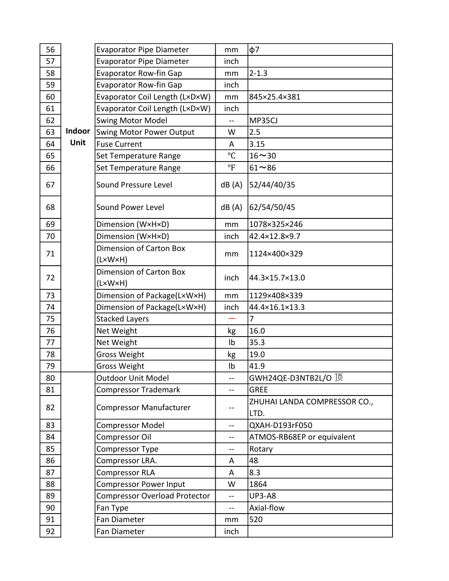| 56 |        | <b>Evaporator Pipe Diameter</b>           | mm             | $\phi$ 7                             |
|----|--------|-------------------------------------------|----------------|--------------------------------------|
| 57 |        | <b>Evaporator Pipe Diameter</b>           | inch           |                                      |
| 58 |        | <b>Evaporator Row-fin Gap</b>             | mm             | $2 - 1.3$                            |
| 59 |        | <b>Evaporator Row-fin Gap</b>             | inch           |                                      |
| 60 |        | Evaporator Coil Length (L×D×W)            | mm             | 845×25.4×381                         |
| 61 |        | Evaporator Coil Length (LxDxW)            | inch           |                                      |
| 62 |        | <b>Swing Motor Model</b>                  | $\overline{a}$ | MP35CJ                               |
| 63 | Indoor | <b>Swing Motor Power Output</b>           | W              | 2.5                                  |
| 64 | Unit   | <b>Fuse Current</b>                       | A              | 3.15                                 |
| 65 |        | Set Temperature Range                     | $^{\circ}C$    | $16 - 30$                            |
| 66 |        | Set Temperature Range                     | $\mathrm{P}$   | $61 - 86$                            |
| 67 |        | Sound Pressure Level                      | dB(A)          | 52/44/40/35                          |
| 68 |        | Sound Power Level                         | dB(A)          | 62/54/50/45                          |
| 69 |        | Dimension (W×H×D)                         | mm             | 1078×325×246                         |
| 70 |        | Dimension (W×H×D)                         | inch           | 42.4×12.8×9.7                        |
| 71 |        | <b>Dimension of Carton Box</b>            | mm             | 1124×400×329                         |
|    |        | (L×W×H)                                   |                |                                      |
| 72 |        | <b>Dimension of Carton Box</b><br>(L×W×H) | inch           | 44.3×15.7×13.0                       |
| 73 |        | Dimension of Package(LxWxH)               | mm             | 1129×408×339                         |
| 74 |        | Dimension of Package(LxWxH)               | inch           | 44.4×16.1×13.3                       |
| 75 |        | <b>Stacked Layers</b>                     |                | 7                                    |
| 76 |        | Net Weight                                | kg             | 16.0                                 |
| 77 |        | Net Weight                                | Ib             | 35.3                                 |
| 78 |        | <b>Gross Weight</b>                       | kg             | 19.0                                 |
| 79 |        | <b>Gross Weight</b>                       | Ib             | 41.9                                 |
| 80 |        | <b>Outdoor Unit Model</b>                 |                | GWH24QE-D3NTB2L/O 顶                  |
| 81 |        | <b>Compressor Trademark</b>               | --             | <b>GREE</b>                          |
| 82 |        | <b>Compressor Manufacturer</b>            | --             | ZHUHAI LANDA COMPRESSOR CO.,<br>LTD. |
| 83 |        | <b>Compressor Model</b>                   |                | QXAH-D193rF050                       |
| 84 |        | Compressor Oil                            | $-$            | ATMOS-RB68EP or equivalent           |
| 85 |        | Compressor Type                           | $-$            | Rotary                               |
| 86 |        | Compressor LRA.                           | A              | 48                                   |
| 87 |        | <b>Compressor RLA</b>                     | A              | 8.3                                  |
| 88 |        | <b>Compressor Power Input</b>             | W              | 1864                                 |
| 89 |        | <b>Compressor Overload Protector</b>      | $-$            | <b>UP3-A8</b>                        |
| 90 |        | Fan Type                                  | $-$            | Axial-flow                           |
| 91 |        | Fan Diameter                              | mm             | 520                                  |
| 92 |        | Fan Diameter                              | inch           |                                      |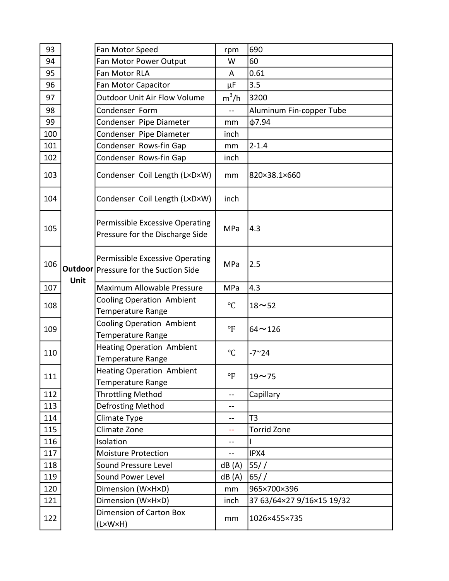| 93  |      | Fan Motor Speed                                                            | rpm            | 690                       |
|-----|------|----------------------------------------------------------------------------|----------------|---------------------------|
| 94  |      | Fan Motor Power Output                                                     | W              | 60                        |
| 95  |      | Fan Motor RLA                                                              | A              | 0.61                      |
| 96  |      | Fan Motor Capacitor                                                        | $\mu$ F        | 3.5                       |
| 97  |      | <b>Outdoor Unit Air Flow Volume</b>                                        | $m^3/h$        | 3200                      |
| 98  |      | Condenser Form                                                             | $\overline{a}$ | Aluminum Fin-copper Tube  |
| 99  |      | Condenser Pipe Diameter                                                    | mm             | $\phi$ 7.94               |
| 100 |      | Condenser Pipe Diameter                                                    | inch           |                           |
| 101 |      | Condenser Rows-fin Gap                                                     | mm             | $2 - 1.4$                 |
| 102 |      | Condenser Rows-fin Gap                                                     | inch           |                           |
| 103 |      | Condenser Coil Length (LxDxW)                                              | mm             | 820×38.1×660              |
| 104 |      | Condenser Coil Length (LxDxW)                                              | inch           |                           |
| 105 |      | Permissible Excessive Operating<br>Pressure for the Discharge Side         | MPa            | 4.3                       |
| 106 | Unit | Permissible Excessive Operating<br>Outdoor   Pressure for the Suction Side | MPa            | 2.5                       |
| 107 |      | Maximum Allowable Pressure                                                 | MPa            | 4.3                       |
| 108 |      | <b>Cooling Operation Ambient</b><br>Temperature Range                      | $^{\circ}C$    | $18 - 52$                 |
| 109 |      | <b>Cooling Operation Ambient</b><br><b>Temperature Range</b>               | $\mathsf{P}$   | $64 - 126$                |
| 110 |      | <b>Heating Operation Ambient</b><br><b>Temperature Range</b>               | $^{\circ}C$    | $-7^{\sim}24$             |
| 111 |      | <b>Heating Operation Ambient</b><br><b>Temperature Range</b>               | $\Gamma$       | $19 - 75$                 |
| 112 |      | <b>Throttling Method</b>                                                   | --             | Capillary                 |
| 113 |      | Defrosting Method                                                          |                |                           |
| 114 |      | Climate Type                                                               | --             | T3                        |
| 115 |      | Climate Zone                                                               |                | <b>Torrid Zone</b>        |
| 116 |      | Isolation                                                                  |                |                           |
| 117 |      | <b>Moisture Protection</b>                                                 | $-$            | IPX4                      |
| 118 |      | Sound Pressure Level                                                       | dB(A)          | 55//                      |
| 119 |      | Sound Power Level                                                          | dB(A)          | 65/                       |
| 120 |      | Dimension (W×H×D)                                                          | mm             | 965×700×396               |
| 121 |      | Dimension (W×H×D)                                                          | inch           | 37 63/64×27 9/16×15 19/32 |
| 122 |      | Dimension of Carton Box<br>(LxWxH)                                         | mm             | 1026×455×735              |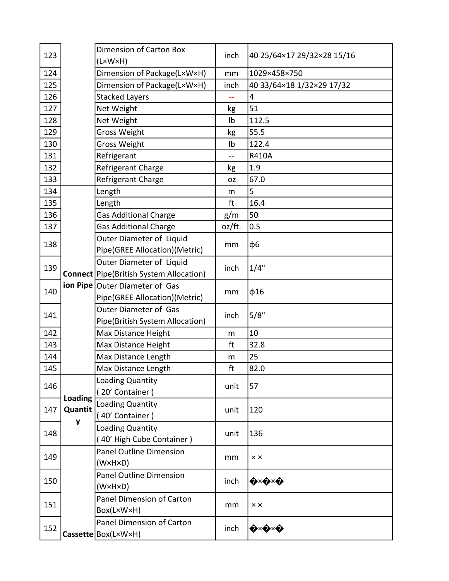| 123 |                    | <b>Dimension of Carton Box</b><br>(L×W×H)       | inch      | 40 25/64×17 29/32×28 15/16             |
|-----|--------------------|-------------------------------------------------|-----------|----------------------------------------|
| 124 |                    | Dimension of Package(LxWxH)                     | mm        | 1029×458×750                           |
| 125 |                    | Dimension of Package(L×W×H)                     | inch      | 40 33/64×18 1/32×29 17/32              |
| 126 |                    | <b>Stacked Layers</b>                           |           | 4                                      |
| 127 |                    | Net Weight                                      | kg        | 51                                     |
| 128 |                    | Net Weight                                      | Ib        | 112.5                                  |
| 129 |                    | <b>Gross Weight</b>                             | kg        | 55.5                                   |
| 130 |                    | <b>Gross Weight</b>                             | Ib        | 122.4                                  |
| 131 |                    | Refrigerant                                     | --        | <b>R410A</b>                           |
| 132 |                    | Refrigerant Charge                              | kg        | 1.9                                    |
| 133 |                    | Refrigerant Charge                              | <b>OZ</b> | 67.0                                   |
| 134 |                    | Length                                          | m         | 5                                      |
| 135 |                    | Length                                          | ft        | 16.4                                   |
| 136 |                    | <b>Gas Additional Charge</b>                    | g/m       | 50                                     |
| 137 |                    | <b>Gas Additional Charge</b>                    | oz/ft.    | 0.5                                    |
|     |                    | Outer Diameter of Liquid                        |           |                                        |
| 138 |                    | Pipe(GREE Allocation)(Metric)                   | mm        | ф6                                     |
|     |                    | Outer Diameter of Liquid                        |           |                                        |
| 139 |                    | <b>Connect</b> Pipe (British System Allocation) | inch      | 1/4"                                   |
| 140 |                    | ion Pipe Outer Diameter of Gas                  | mm        | $\phi$ 16                              |
|     |                    | Pipe(GREE Allocation)(Metric)                   |           |                                        |
| 141 |                    | Outer Diameter of Gas                           | inch      | 5/8"                                   |
|     |                    | Pipe(British System Allocation)                 |           |                                        |
| 142 |                    | Max Distance Height                             | m         | 10                                     |
| 143 |                    | Max Distance Height                             | ft        | 32.8                                   |
| 144 |                    | Max Distance Length                             | m         | 25                                     |
| 145 |                    | Max Distance Length                             | ft        | 82.0                                   |
| 146 |                    | Loading Quantity                                |           | 57                                     |
|     | Loading<br>Quantit | 20' Container)                                  | unit      |                                        |
| 147 |                    | Loading Quantity                                | unit      | 120                                    |
|     |                    | (40' Container)                                 |           |                                        |
| 148 | y                  | <b>Loading Quantity</b>                         |           | 136                                    |
|     |                    | 40' High Cube Container)                        | unit      |                                        |
|     |                    | <b>Panel Outline Dimension</b>                  |           |                                        |
| 149 |                    | (W×H×D)                                         | mm        | $\times$ $\times$                      |
|     |                    | <b>Panel Outline Dimension</b>                  |           |                                        |
| 150 |                    | $(W \times H \times D)$                         | inch      | ◈╳◆╳◆                                  |
| 151 |                    | Panel Dimension of Carton                       |           |                                        |
|     |                    | Box(L×W×H)                                      | mm        | $\times$ $\times$                      |
|     |                    | Panel Dimension of Carton                       |           |                                        |
| 152 |                    | Cassette   Box(L×W×H)                           | inch      | $\bigotimes x \bigotimes x \bigotimes$ |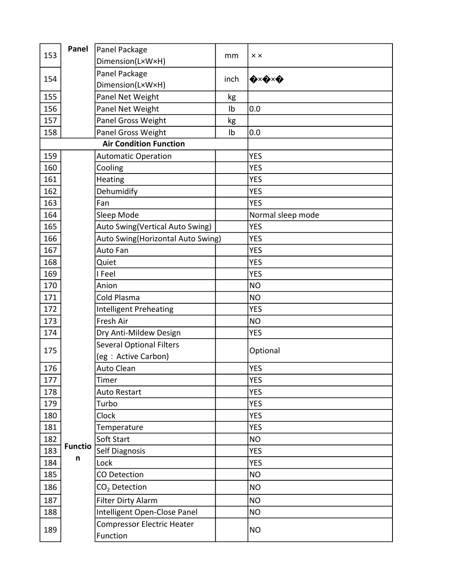| 153 | Panel          | Panel Package                                 |      | $\times$ $\times$                      |
|-----|----------------|-----------------------------------------------|------|----------------------------------------|
|     |                | Dimension(LxWxH)                              | mm   |                                        |
| 154 |                | Panel Package                                 | inch | $\bigotimes x \bigotimes x \bigotimes$ |
|     |                | Dimension(LxWxH)                              |      |                                        |
| 155 |                | Panel Net Weight                              | kg   |                                        |
| 156 |                | Panel Net Weight                              | Ib   | 0.0                                    |
| 157 |                | Panel Gross Weight                            | kg   |                                        |
| 158 |                | Panel Gross Weight                            | Ib   | 0.0                                    |
|     |                | <b>Air Condition Function</b>                 |      |                                        |
| 159 |                | <b>Automatic Operation</b>                    |      | <b>YES</b>                             |
| 160 |                | Cooling                                       |      | <b>YES</b>                             |
| 161 |                | Heating                                       |      | <b>YES</b>                             |
| 162 |                | Dehumidify                                    |      | <b>YES</b>                             |
| 163 |                | Fan                                           |      | <b>YES</b>                             |
| 164 |                | Sleep Mode                                    |      | Normal sleep mode                      |
| 165 |                | Auto Swing(Vertical Auto Swing)               |      | <b>YES</b>                             |
| 166 |                | Auto Swing(Horizontal Auto Swing)             |      | <b>YES</b>                             |
| 167 |                | Auto Fan                                      |      | <b>YES</b>                             |
| 168 |                | Quiet                                         |      | <b>YES</b>                             |
| 169 |                | I Feel                                        |      | <b>YES</b>                             |
| 170 |                | Anion                                         |      | <b>NO</b>                              |
| 171 |                | Cold Plasma                                   |      | <b>NO</b>                              |
| 172 |                | <b>Intelligent Preheating</b>                 |      | <b>YES</b>                             |
| 173 |                | Fresh Air                                     |      | <b>NO</b>                              |
| 174 |                | Dry Anti-Mildew Design                        |      | <b>YES</b>                             |
| 175 |                | <b>Several Optional Filters</b>               |      | Optional                               |
|     |                | (eg : Active Carbon)                          |      |                                        |
| 176 |                | <b>Auto Clean</b>                             |      | <b>YES</b>                             |
| 177 |                | Timer                                         |      | <b>YES</b>                             |
| 178 |                | <b>Auto Restart</b>                           |      | <b>YES</b>                             |
| 179 |                | Turbo                                         |      | <b>YES</b>                             |
| 180 |                | Clock                                         |      | <b>YES</b>                             |
| 181 |                | Temperature                                   |      | <b>YES</b>                             |
| 182 |                | Soft Start                                    |      | <b>NO</b>                              |
| 183 | <b>Functio</b> | Self Diagnosis                                |      | <b>YES</b>                             |
| 184 | n              | Lock                                          |      | <b>YES</b>                             |
| 185 |                | CO Detection                                  |      | <b>NO</b>                              |
| 186 |                | $CO2$ Detection                               |      | <b>NO</b>                              |
| 187 |                | Filter Dirty Alarm                            |      | <b>NO</b>                              |
| 188 |                | Intelligent Open-Close Panel                  |      | <b>NO</b>                              |
| 189 |                | <b>Compressor Electric Heater</b><br>Function |      | <b>NO</b>                              |